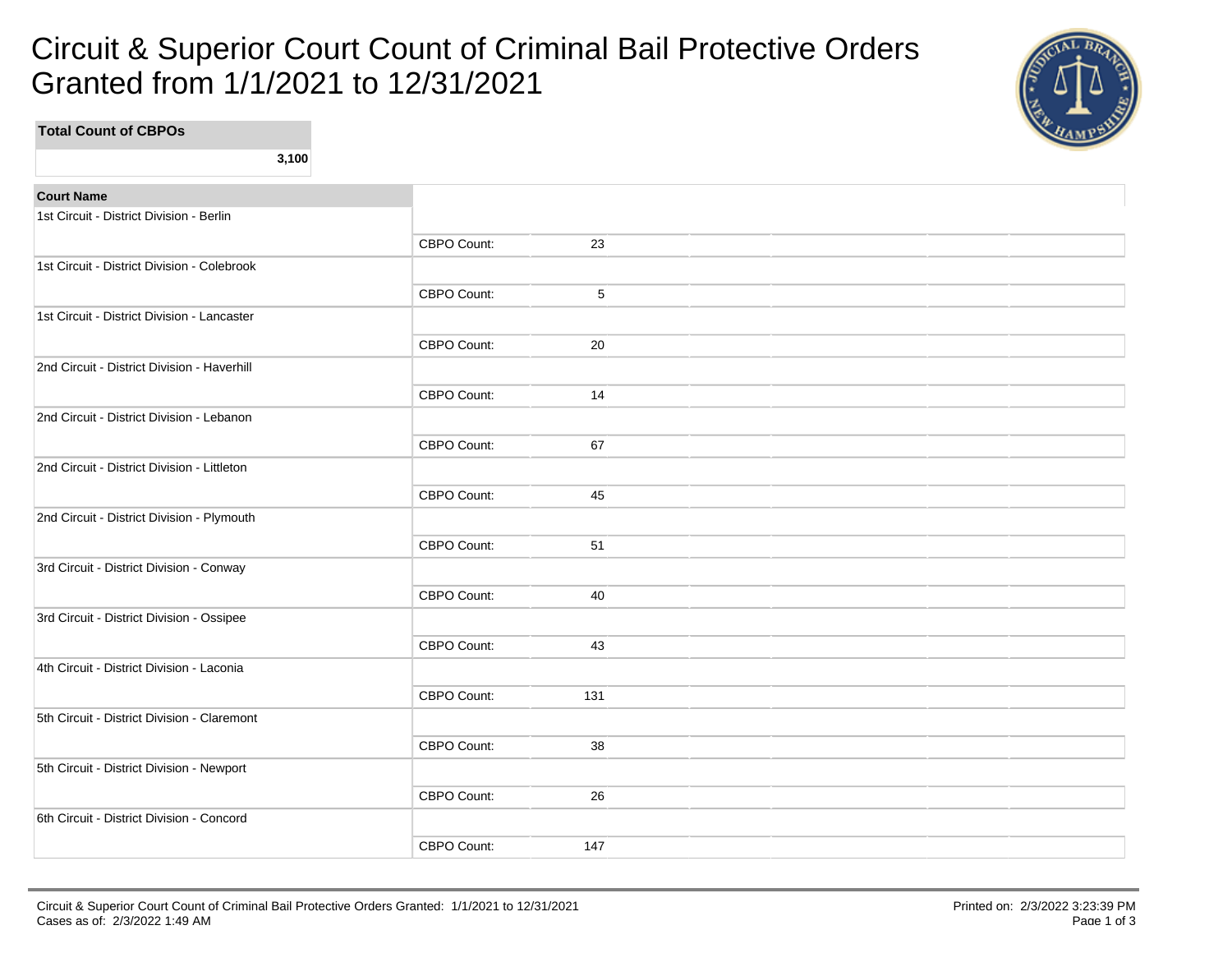## Circuit & Superior Court Count of Criminal Bail Protective Orders Granted from 1/1/2021 to 12/31/2021



**Total Count of CBPOs 3,100 Court Name** 1st Circuit - District Division - Berlin CBPO Count: 23 1st Circuit - District Division - Colebrook CBPO Count: 5 1st Circuit - District Division - Lancaster CBPO Count: 20 2nd Circuit - District Division - Haverhill CBPO Count: 14 2nd Circuit - District Division - Lebanon CBPO Count: 67 2nd Circuit - District Division - Littleton CBPO Count: 45 2nd Circuit - District Division - Plymouth CBPO Count: 51 3rd Circuit - District Division - Conway CBPO Count: 40 3rd Circuit - District Division - Ossipee CBPO Count: 43 4th Circuit - District Division - Laconia CBPO Count: 131 5th Circuit - District Division - Claremont CBPO Count: 38 5th Circuit - District Division - Newport CBPO Count: 26 6th Circuit - District Division - Concord

CBPO Count: 147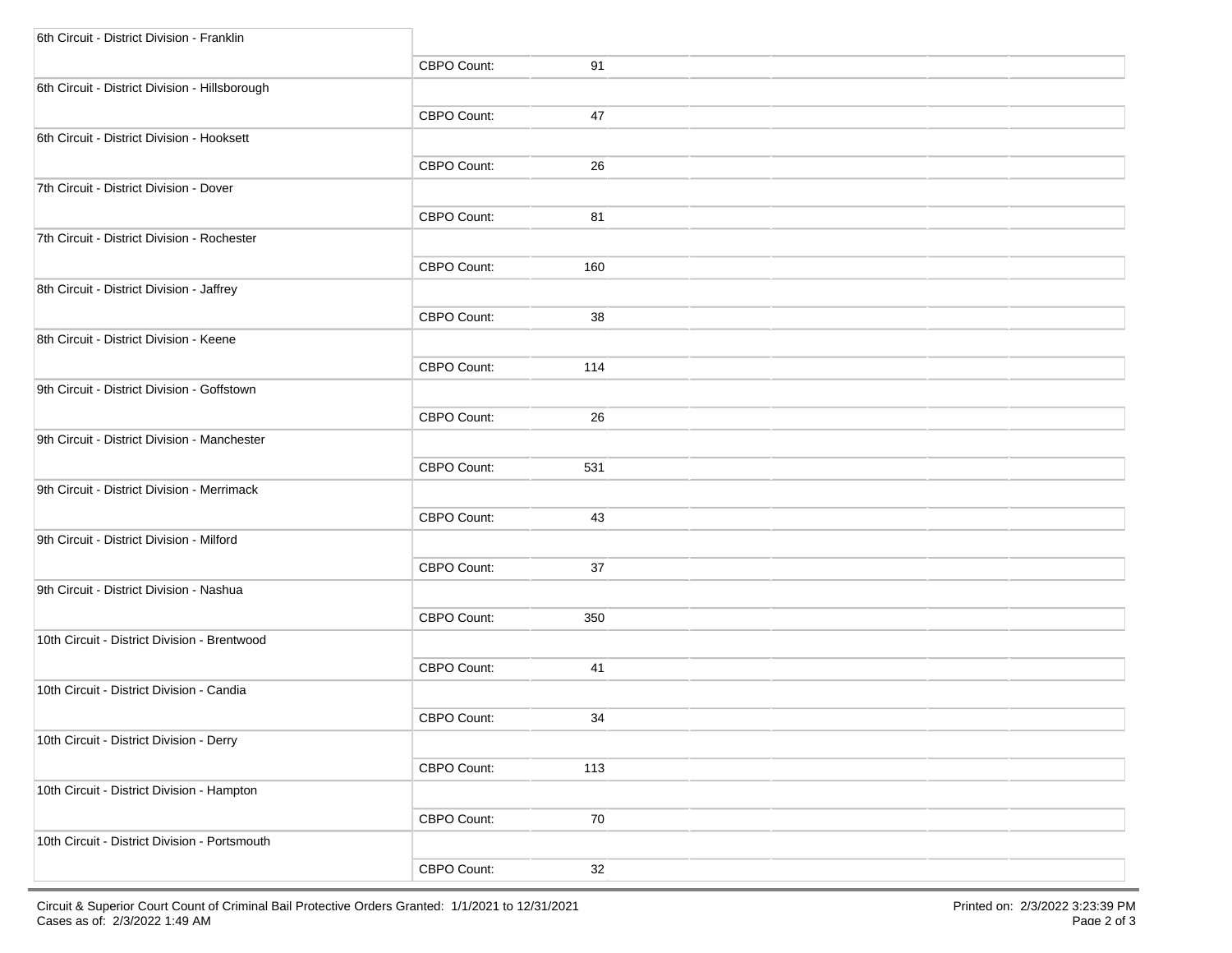| 6th Circuit - District Division - Franklin     |                    |     |  |  |
|------------------------------------------------|--------------------|-----|--|--|
|                                                | CBPO Count:        | 91  |  |  |
| 6th Circuit - District Division - Hillsborough |                    |     |  |  |
|                                                | CBPO Count:        | 47  |  |  |
| 6th Circuit - District Division - Hooksett     |                    |     |  |  |
|                                                | CBPO Count:        | 26  |  |  |
| 7th Circuit - District Division - Dover        |                    |     |  |  |
|                                                | CBPO Count:        | 81  |  |  |
| 7th Circuit - District Division - Rochester    |                    |     |  |  |
|                                                | CBPO Count:        | 160 |  |  |
| 8th Circuit - District Division - Jaffrey      |                    |     |  |  |
|                                                | CBPO Count:        | 38  |  |  |
| 8th Circuit - District Division - Keene        |                    |     |  |  |
|                                                | CBPO Count:        | 114 |  |  |
| 9th Circuit - District Division - Goffstown    |                    |     |  |  |
|                                                | <b>CBPO Count:</b> | 26  |  |  |
| 9th Circuit - District Division - Manchester   |                    |     |  |  |
|                                                | CBPO Count:        | 531 |  |  |
| 9th Circuit - District Division - Merrimack    |                    |     |  |  |
|                                                | CBPO Count:        | 43  |  |  |
| 9th Circuit - District Division - Milford      |                    |     |  |  |
|                                                | CBPO Count:        | 37  |  |  |
| 9th Circuit - District Division - Nashua       |                    |     |  |  |
|                                                | CBPO Count:        | 350 |  |  |
| 10th Circuit - District Division - Brentwood   |                    |     |  |  |
|                                                | CBPO Count:        | 41  |  |  |
| 10th Circuit - District Division - Candia      |                    |     |  |  |
|                                                | CBPO Count:        | 34  |  |  |
| 10th Circuit - District Division - Derry       |                    |     |  |  |
|                                                | CBPO Count:        | 113 |  |  |
| 10th Circuit - District Division - Hampton     |                    |     |  |  |
|                                                | CBPO Count:        | 70  |  |  |
| 10th Circuit - District Division - Portsmouth  |                    |     |  |  |
|                                                | CBPO Count:        | 32  |  |  |